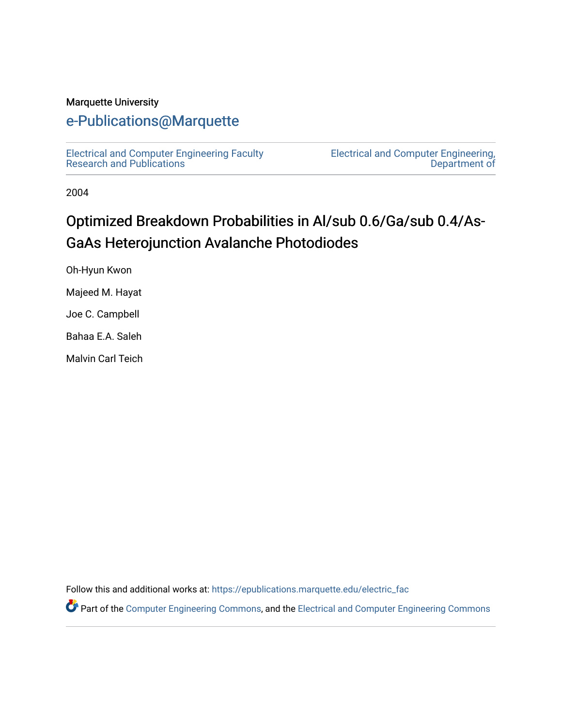#### Marquette University

### [e-Publications@Marquette](https://epublications.marquette.edu/)

[Electrical and Computer Engineering Faculty](https://epublications.marquette.edu/electric_fac) [Research and Publications](https://epublications.marquette.edu/electric_fac) 

[Electrical and Computer Engineering,](https://epublications.marquette.edu/electric)  [Department of](https://epublications.marquette.edu/electric) 

2004

## Optimized Breakdown Probabilities in Al/sub 0.6/Ga/sub 0.4/As-GaAs Heterojunction Avalanche Photodiodes

Oh-Hyun Kwon

Majeed M. Hayat

Joe C. Campbell

Bahaa E.A. Saleh

Malvin Carl Teich

Follow this and additional works at: [https://epublications.marquette.edu/electric\\_fac](https://epublications.marquette.edu/electric_fac?utm_source=epublications.marquette.edu%2Felectric_fac%2F534&utm_medium=PDF&utm_campaign=PDFCoverPages) 

Part of the [Computer Engineering Commons,](http://network.bepress.com/hgg/discipline/258?utm_source=epublications.marquette.edu%2Felectric_fac%2F534&utm_medium=PDF&utm_campaign=PDFCoverPages) and the [Electrical and Computer Engineering Commons](http://network.bepress.com/hgg/discipline/266?utm_source=epublications.marquette.edu%2Felectric_fac%2F534&utm_medium=PDF&utm_campaign=PDFCoverPages)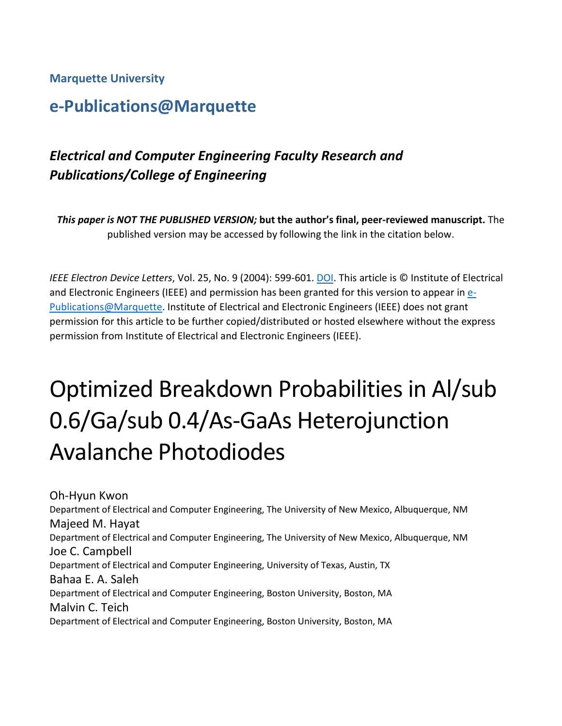**Marquette University**

## **e-Publications@Marquette**

## *Electrical and Computer Engineering Faculty Research and Publications/College of Engineering*

*This paper is NOT THE PUBLISHED VERSION;* **but the author's final, peer-reviewed manuscript.** The published version may be accessed by following the link in the citation below.

*IEEE Electron Device Letters*, Vol. 25, No. 9 (2004): 599-601. [DOI.](https://dx.doi.org/10.1109/LED.2004.834489) This article is © Institute of Electrical and Electronic Engineers (IEEE) and permission has been granted for this version to appear in [e-](http://epublications.marquette.edu/)[Publications@Marquette.](http://epublications.marquette.edu/) Institute of Electrical and Electronic Engineers (IEEE) does not grant permission for this article to be further copied/distributed or hosted elsewhere without the express permission from Institute of Electrical and Electronic Engineers (IEEE).

# Optimized Breakdown Probabilities in Al/sub 0.6/Ga/sub 0.4/As-GaAs Heterojunction Avalanche Photodiodes

Oh-Hyun Kwon Department of Electrical and Computer Engineering, The University of New Mexico, Albuquerque, NM Majeed M. Hayat Department of Electrical and Computer Engineering, The University of New Mexico, Albuquerque, NM Joe C. Campbell Department of Electrical and Computer Engineering, University of Texas, Austin, TX Bahaa E. A. Saleh Department of Electrical and Computer Engineering, Boston University, Boston, MA Malvin C. Teich Department of Electrical and Computer Engineering, Boston University, Boston, MA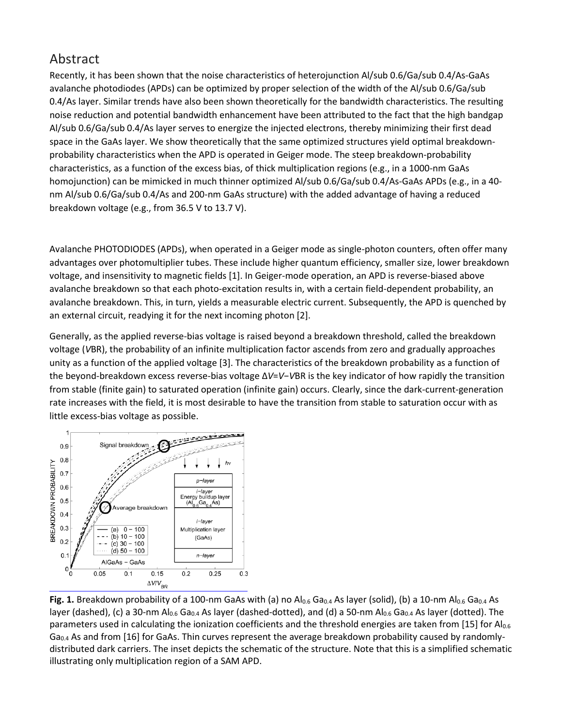### Abstract

Recently, it has been shown that the noise characteristics of heterojunction Al/sub 0.6/Ga/sub 0.4/As-GaAs avalanche photodiodes (APDs) can be optimized by proper selection of the width of the Al/sub 0.6/Ga/sub 0.4/As layer. Similar trends have also been shown theoretically for the bandwidth characteristics. The resulting noise reduction and potential bandwidth enhancement have been attributed to the fact that the high bandgap Al/sub 0.6/Ga/sub 0.4/As layer serves to energize the injected electrons, thereby minimizing their first dead space in the GaAs layer. We show theoretically that the same optimized structures yield optimal breakdownprobability characteristics when the APD is operated in Geiger mode. The steep breakdown-probability characteristics, as a function of the excess bias, of thick multiplication regions (e.g., in a 1000-nm GaAs homojunction) can be mimicked in much thinner optimized Al/sub 0.6/Ga/sub 0.4/As-GaAs APDs (e.g., in a 40 nm Al/sub 0.6/Ga/sub 0.4/As and 200-nm GaAs structure) with the added advantage of having a reduced breakdown voltage (e.g., from 36.5 V to 13.7 V).

Avalanche PHOTODIODES (APDs), when operated in a Geiger mode as single-photon counters, often offer many advantages over photomultiplier tubes. These include higher quantum efficiency, smaller size, lower breakdown voltage, and insensitivity to magnetic fields [1]. In Geiger-mode operation, an APD is reverse-biased above avalanche breakdown so that each photo-excitation results in, with a certain field-dependent probability, an avalanche breakdown. This, in turn, yields a measurable electric current. Subsequently, the APD is quenched by an external circuit, readying it for the next incoming photon [2].

Generally, as the applied reverse-bias voltage is raised beyond a breakdown threshold, called the breakdown voltage (*V*BR), the probability of an infinite multiplication factor ascends from zero and gradually approaches unity as a function of the applied voltage [3]. The characteristics of the breakdown probability as a function of the beyond-breakdown excess reverse-bias voltage Δ*V*=*V*−*V*BR is the key indicator of how rapidly the transition from stable (finite gain) to saturated operation (infinite gain) occurs. Clearly, since the dark-current-generation rate increases with the field, it is most desirable to have the transition from stable to saturation occur with as little excess-bias voltage as possible.



**Fig. 1.** Breakdown probability of a 100-nm GaAs with (a) no  $Al_{0.6}$  Ga<sub>0.4</sub> As layer (solid), (b) a 10-nm  $Al_{0.6}$  Ga<sub>0.4</sub> As layer (dashed), (c) a 30-nm Al<sub>0.6</sub> Ga<sub>0.4</sub> As layer (dashed-dotted), and (d) a 50-nm Al<sub>0.6</sub> Ga<sub>0.4</sub> As layer (dotted). The parameters used in calculating the ionization coefficients and the threshold energies are taken from [15] for Al0.6  $Ga_{0.4}$  As and from [16] for GaAs. Thin curves represent the average breakdown probability caused by randomlydistributed dark carriers. The inset depicts the schematic of the structure. Note that this is a simplified schematic illustrating only multiplication region of a SAM APD.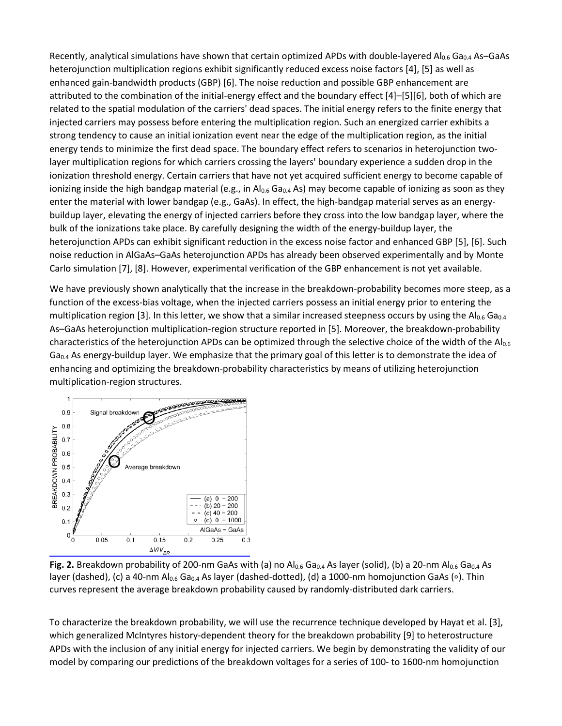Recently, analytical simulations have shown that certain optimized APDs with double-layered Al<sub>0.6</sub> Ga<sub>0.4</sub> As–GaAs heterojunction multiplication regions exhibit significantly reduced excess noise factors [4], [5] as well as enhanced gain-bandwidth products (GBP) [6]. The noise reduction and possible GBP enhancement are attributed to the combination of the initial-energy effect and the boundary effect [4]–[5][6], both of which are related to the spatial modulation of the carriers' dead spaces. The initial energy refers to the finite energy that injected carriers may possess before entering the multiplication region. Such an energized carrier exhibits a strong tendency to cause an initial ionization event near the edge of the multiplication region, as the initial energy tends to minimize the first dead space. The boundary effect refers to scenarios in heterojunction twolayer multiplication regions for which carriers crossing the layers' boundary experience a sudden drop in the ionization threshold energy. Certain carriers that have not yet acquired sufficient energy to become capable of ionizing inside the high bandgap material (e.g., in  $Al_{0.6}$  Ga<sub>0.4</sub> As) may become capable of ionizing as soon as they enter the material with lower bandgap (e.g., GaAs). In effect, the high-bandgap material serves as an energybuildup layer, elevating the energy of injected carriers before they cross into the low bandgap layer, where the bulk of the ionizations take place. By carefully designing the width of the energy-buildup layer, the heterojunction APDs can exhibit significant reduction in the excess noise factor and enhanced GBP [5], [6]. Such noise reduction in AlGaAs–GaAs heterojunction APDs has already been observed experimentally and by Monte Carlo simulation [7], [8]. However, experimental verification of the GBP enhancement is not yet available.

We have previously shown analytically that the increase in the breakdown-probability becomes more steep, as a function of the excess-bias voltage, when the injected carriers possess an initial energy prior to entering the multiplication region [3]. In this letter, we show that a similar increased steepness occurs by using the Al<sub>0.6</sub> Ga<sub>0.4</sub> As–GaAs heterojunction multiplication-region structure reported in [5]. Moreover, the breakdown-probability characteristics of the heterojunction APDs can be optimized through the selective choice of the width of the Al0.6  $Ga_{0.4}$  As energy-buildup layer. We emphasize that the primary goal of this letter is to demonstrate the idea of enhancing and optimizing the breakdown-probability characteristics by means of utilizing heterojunction multiplication-region structures.



Fig. 2. Breakdown probability of 200-nm GaAs with (a) no Al<sub>0.6</sub> Ga<sub>0.4</sub> As layer (solid), (b) a 20-nm Al<sub>0.6</sub> Ga<sub>0.4</sub> As layer (dashed), (c) a 40-nm Al<sub>0.6</sub> Ga<sub>0.4</sub> As layer (dashed-dotted), (d) a 1000-nm homojunction GaAs (∘). Thin curves represent the average breakdown probability caused by randomly-distributed dark carriers.

To characterize the breakdown probability, we will use the recurrence technique developed by Hayat et al. [3], which generalized McIntyres history-dependent theory for the breakdown probability [9] to heterostructure APDs with the inclusion of any initial energy for injected carriers. We begin by demonstrating the validity of our model by comparing our predictions of the breakdown voltages for a series of 100- to 1600-nm homojunction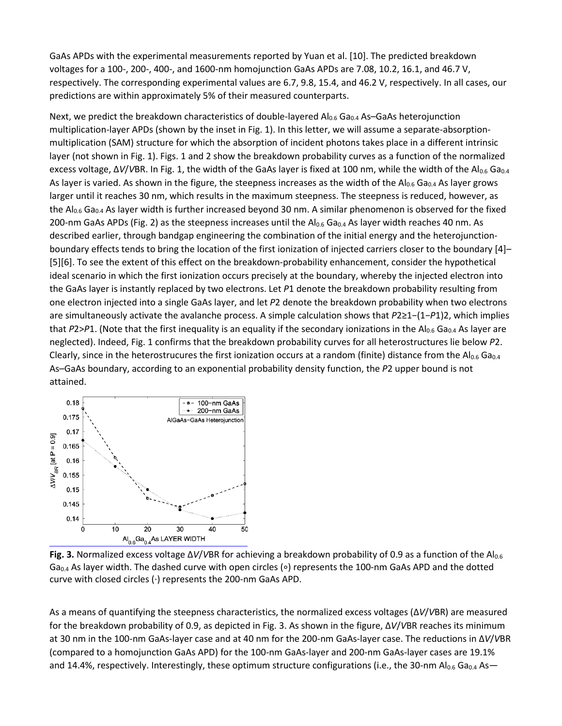GaAs APDs with the experimental measurements reported by Yuan et al. [10]. The predicted breakdown voltages for a 100-, 200-, 400-, and 1600-nm homojunction GaAs APDs are 7.08, 10.2, 16.1, and 46.7 V, respectively. The corresponding experimental values are 6.7, 9.8, 15.4, and 46.2 V, respectively. In all cases, our predictions are within approximately 5% of their measured counterparts.

Next, we predict the breakdown characteristics of double-layered  $Al_{0.6}$  Ga<sub>0.4</sub> As–GaAs heterojunction multiplication-layer APDs (shown by the inset in Fig. 1). In this letter, we will assume a separate-absorptionmultiplication (SAM) structure for which the absorption of incident photons takes place in a different intrinsic layer (not shown in Fig. 1). Figs. 1 and 2 show the breakdown probability curves as a function of the normalized excess voltage, ΔV/VBR. In Fig. 1, the width of the GaAs layer is fixed at 100 nm, while the width of the Al<sub>0.6</sub> Ga<sub>0.4</sub> As layer is varied. As shown in the figure, the steepness increases as the width of the  $Al_{0.6}$  Ga<sub>0.4</sub> As layer grows larger until it reaches 30 nm, which results in the maximum steepness. The steepness is reduced, however, as the  $Al_{0.6}$  Ga<sub>0.4</sub> As layer width is further increased beyond 30 nm. A similar phenomenon is observed for the fixed 200-nm GaAs APDs (Fig. 2) as the steepness increases until the  $Al_{0.6}$  Ga<sub>0.4</sub> As layer width reaches 40 nm. As described earlier, through bandgap engineering the combination of the initial energy and the heterojunctionboundary effects tends to bring the location of the first ionization of injected carriers closer to the boundary [4]– [5][6]. To see the extent of this effect on the breakdown-probability enhancement, consider the hypothetical ideal scenario in which the first ionization occurs precisely at the boundary, whereby the injected electron into the GaAs layer is instantly replaced by two electrons. Let *P*1 denote the breakdown probability resulting from one electron injected into a single GaAs layer, and let *P*2 denote the breakdown probability when two electrons are simultaneously activate the avalanche process. A simple calculation shows that *P*2≥1−(1−*P*1)2, which implies that  $P2>P1$ . (Note that the first inequality is an equality if the secondary ionizations in the Al<sub>0.6</sub> Ga<sub>0.4</sub> As layer are neglected). Indeed, Fig. 1 confirms that the breakdown probability curves for all heterostructures lie below *P*2. Clearly, since in the heterostrucures the first ionization occurs at a random (finite) distance from the  $Al_{0.6}$  Ga<sub>0.4</sub> As–GaAs boundary, according to an exponential probability density function, the *P*2 upper bound is not attained.



**Fig. 3.** Normalized excess voltage Δ*V*/*V*BR for achieving a breakdown probability of 0.9 as a function of the Al0.6 Ga<sub>0.4</sub> As layer width. The dashed curve with open circles (∘) represents the 100-nm GaAs APD and the dotted curve with closed circles (∙) represents the 200-nm GaAs APD.

As a means of quantifying the steepness characteristics, the normalized excess voltages (Δ*V*/*V*BR) are measured for the breakdown probability of 0.9, as depicted in Fig. 3. As shown in the figure, Δ*V*/*V*BR reaches its minimum at 30 nm in the 100-nm GaAs-layer case and at 40 nm for the 200-nm GaAs-layer case. The reductions in Δ*V*/*V*BR (compared to a homojunction GaAs APD) for the 100-nm GaAs-layer and 200-nm GaAs-layer cases are 19.1% and 14.4%, respectively. Interestingly, these optimum structure configurations (i.e., the 30-nm Al<sub>0.6</sub> Ga<sub>0.4</sub> As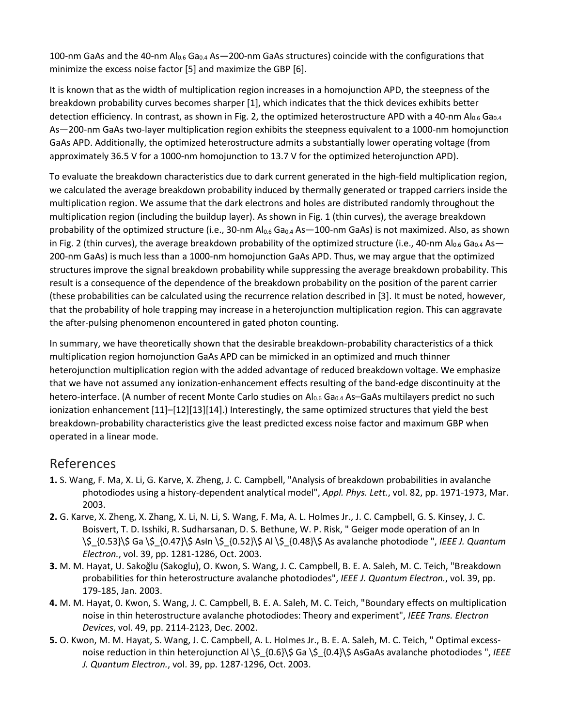100-nm GaAs and the 40-nm  $Al_{0.6}$  Ga<sub>0.4</sub> As -200-nm GaAs structures) coincide with the configurations that minimize the excess noise factor [5] and maximize the GBP [6].

It is known that as the width of multiplication region increases in a homojunction APD, the steepness of the breakdown probability curves becomes sharper [1], which indicates that the thick devices exhibits better detection efficiency. In contrast, as shown in Fig. 2, the optimized heterostructure APD with a 40-nm Al<sub>0.6</sub> Ga<sub>0.4</sub> As—200-nm GaAs two-layer multiplication region exhibits the steepness equivalent to a 1000-nm homojunction GaAs APD. Additionally, the optimized heterostructure admits a substantially lower operating voltage (from approximately 36.5 V for a 1000-nm homojunction to 13.7 V for the optimized heterojunction APD).

To evaluate the breakdown characteristics due to dark current generated in the high-field multiplication region, we calculated the average breakdown probability induced by thermally generated or trapped carriers inside the multiplication region. We assume that the dark electrons and holes are distributed randomly throughout the multiplication region (including the buildup layer). As shown in Fig. 1 (thin curves), the average breakdown probability of the optimized structure (i.e., 30-nm  $Al_{0.6}$  Ga<sub>0.4</sub> As  $-100$ -nm GaAs) is not maximized. Also, as shown in Fig. 2 (thin curves), the average breakdown probability of the optimized structure (i.e., 40-nm Al<sub>0.6</sub> Ga<sub>0.4</sub> As-200-nm GaAs) is much less than a 1000-nm homojunction GaAs APD. Thus, we may argue that the optimized structures improve the signal breakdown probability while suppressing the average breakdown probability. This result is a consequence of the dependence of the breakdown probability on the position of the parent carrier (these probabilities can be calculated using the recurrence relation described in [3]. It must be noted, however, that the probability of hole trapping may increase in a heterojunction multiplication region. This can aggravate the after-pulsing phenomenon encountered in gated photon counting.

In summary, we have theoretically shown that the desirable breakdown-probability characteristics of a thick multiplication region homojunction GaAs APD can be mimicked in an optimized and much thinner heterojunction multiplication region with the added advantage of reduced breakdown voltage. We emphasize that we have not assumed any ionization-enhancement effects resulting of the band-edge discontinuity at the hetero-interface. (A number of recent Monte Carlo studies on Al<sub>0.6</sub> Ga<sub>0.4</sub> As-GaAs multilayers predict no such ionization enhancement [11]–[12][13][14].) Interestingly, the same optimized structures that yield the best breakdown-probability characteristics give the least predicted excess noise factor and maximum GBP when operated in a linear mode.

#### References

- **1.** S. Wang, F. Ma, X. Li, G. Karve, X. Zheng, J. C. Campbell, "Analysis of breakdown probabilities in avalanche photodiodes using a history-dependent analytical model", *Appl. Phys. Lett.*, vol. 82, pp. 1971-1973, Mar. 2003.
- **2.** G. Karve, X. Zheng, X. Zhang, X. Li, N. Li, S. Wang, F. Ma, A. L. Holmes Jr., J. C. Campbell, G. S. Kinsey, J. C. Boisvert, T. D. Isshiki, R. Sudharsanan, D. S. Bethune, W. P. Risk, " Geiger mode operation of an In \\$\_{0.53}\\$ Ga \\$\_{0.47}\\$ As̵In \\$\_{0.52}\\$ Al \\$\_{0.48}\\$ As avalanche photodiode ", *IEEE J. Quantum Electron.*, vol. 39, pp. 1281-1286, Oct. 2003.
- **3.** M. M. Hayat, U. Sakoğlu (Sakoglu), O. Kwon, S. Wang, J. C. Campbell, B. E. A. Saleh, M. C. Teich, "Breakdown probabilities for thin heterostructure avalanche photodiodes", *IEEE J. Quantum Electron.*, vol. 39, pp. 179-185, Jan. 2003.
- **4.** M. M. Hayat, 0. Kwon, S. Wang, J. C. Campbell, B. E. A. Saleh, M. C. Teich, "Boundary effects on multiplication noise in thin heterostructure avalanche photodiodes: Theory and experiment", *IEEE Trans. Electron Devices*, vol. 49, pp. 2114-2123, Dec. 2002.
- **5.** O. Kwon, M. M. Hayat, S. Wang, J. C. Campbell, A. L. Holmes Jr., B. E. A. Saleh, M. C. Teich, " Optimal excessnoise reduction in thin heterojunction Al \\$\_{0.6}\\$ Ga \\$\_{0.4}\\$ AsGaAs avalanche photodiodes ", *IEEE J. Quantum Electron.*, vol. 39, pp. 1287-1296, Oct. 2003.